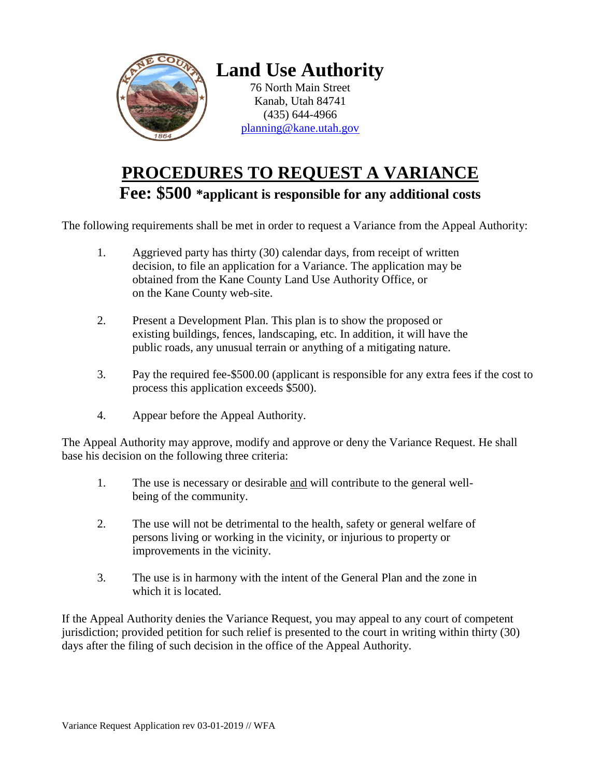

## **PROCEDURES TO REQUEST A VARIANCE Fee: \$500 \*applicant is responsible for any additional costs**

The following requirements shall be met in order to request a Variance from the Appeal Authority:

- 1. Aggrieved party has thirty (30) calendar days, from receipt of written decision, to file an application for a Variance. The application may be obtained from the Kane County Land Use Authority Office, or on the Kane County web-site.
- 2. Present a Development Plan. This plan is to show the proposed or existing buildings, fences, landscaping, etc. In addition, it will have the public roads, any unusual terrain or anything of a mitigating nature.
- 3. Pay the required fee-\$500.00 (applicant is responsible for any extra fees if the cost to process this application exceeds \$500).
- 4. Appear before the Appeal Authority.

The Appeal Authority may approve, modify and approve or deny the Variance Request. He shall base his decision on the following three criteria:

- 1. The use is necessary or desirable and will contribute to the general wellbeing of the community.
- 2. The use will not be detrimental to the health, safety or general welfare of persons living or working in the vicinity, or injurious to property or improvements in the vicinity.
- 3. The use is in harmony with the intent of the General Plan and the zone in which it is located.

If the Appeal Authority denies the Variance Request, you may appeal to any court of competent jurisdiction; provided petition for such relief is presented to the court in writing within thirty (30) days after the filing of such decision in the office of the Appeal Authority.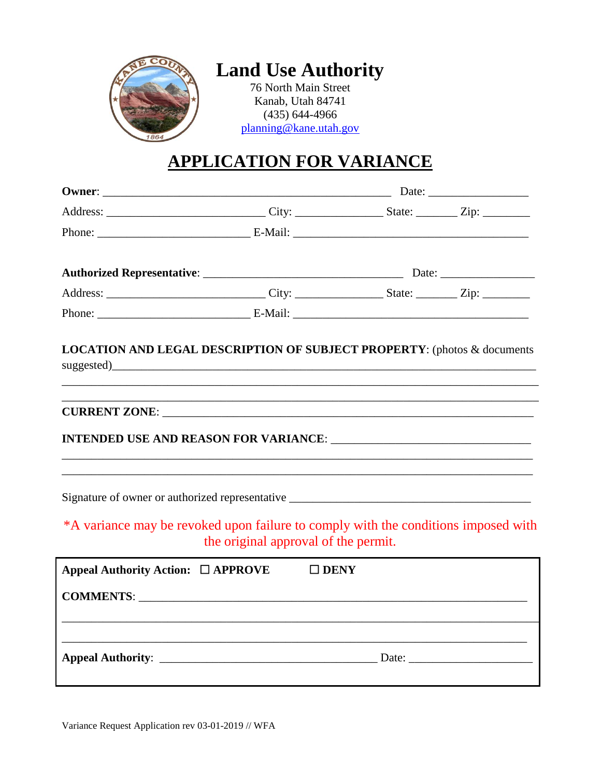

## **Land Use Authority**

76 North Main Street Kanab, Utah 84741 (435) 644-4966 [planning@kane.utah.gov](mailto:planning@kane.utah.gov)

## **APPLICATION FOR VARIANCE**

| Address: ________________________________City: ____________________State: __________Zip: ___________ |                                      |  |  |
|------------------------------------------------------------------------------------------------------|--------------------------------------|--|--|
|                                                                                                      |                                      |  |  |
| <b>LOCATION AND LEGAL DESCRIPTION OF SUBJECT PROPERTY:</b> (photos & documents                       |                                      |  |  |
|                                                                                                      |                                      |  |  |
|                                                                                                      |                                      |  |  |
|                                                                                                      |                                      |  |  |
| *A variance may be revoked upon failure to comply with the conditions imposed with                   | the original approval of the permit. |  |  |
| Appeal Authority Action: □ APPROVE                                                                   | $\Box$ DENY                          |  |  |
|                                                                                                      |                                      |  |  |
|                                                                                                      |                                      |  |  |
|                                                                                                      |                                      |  |  |

Variance Request Application rev 03-01-2019 // WFA